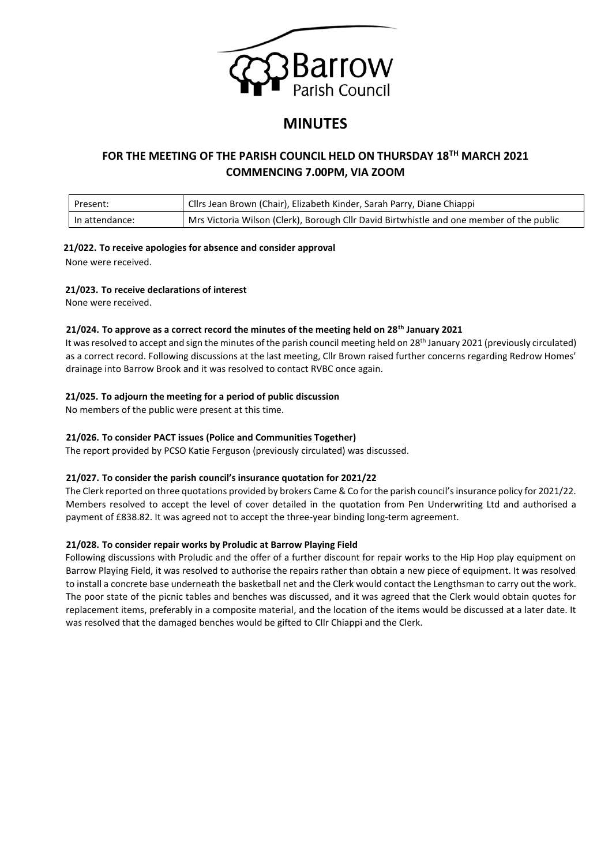

# **MINUTES**

## **FOR THE MEETING OF THE PARISH COUNCIL HELD ON THURSDAY 18TH MARCH 2021 COMMENCING 7.00PM, VIA ZOOM**

| Present:       | Cllrs Jean Brown (Chair), Elizabeth Kinder, Sarah Parry, Diane Chiappi                   |
|----------------|------------------------------------------------------------------------------------------|
| In attendance: | Mrs Victoria Wilson (Clerk), Borough Cllr David Birtwhistle and one member of the public |

## **21/022. To receive apologies for absence and consider approval**

None were received.

## **21/023. To receive declarations of interest**

None were received.

## **21/024. To approve as a correct record the minutes of the meeting held on 28th January 2021**

It was resolved to accept and sign the minutes of the parish council meeting held on 28<sup>th</sup> January 2021 (previously circulated) as a correct record. Following discussions at the last meeting, Cllr Brown raised further concerns regarding Redrow Homes' drainage into Barrow Brook and it was resolved to contact RVBC once again.

## **21/025. To adjourn the meeting for a period of public discussion**

No members of the public were present at this time.

## **21/026. To consider PACT issues (Police and Communities Together)**

The report provided by PCSO Katie Ferguson (previously circulated) was discussed.

## **21/027. To consider the parish council's insurance quotation for 2021/22**

The Clerk reported on three quotations provided by brokers Came & Co for the parish council's insurance policy for 2021/22. Members resolved to accept the level of cover detailed in the quotation from Pen Underwriting Ltd and authorised a payment of £838.82. It was agreed not to accept the three-year binding long-term agreement.

## **21/028. To consider repair works by Proludic at Barrow Playing Field**

Following discussions with Proludic and the offer of a further discount for repair works to the Hip Hop play equipment on Barrow Playing Field, it was resolved to authorise the repairs rather than obtain a new piece of equipment. It was resolved to install a concrete base underneath the basketball net and the Clerk would contact the Lengthsman to carry out the work. The poor state of the picnic tables and benches was discussed, and it was agreed that the Clerk would obtain quotes for replacement items, preferably in a composite material, and the location of the items would be discussed at a later date. It was resolved that the damaged benches would be gifted to Cllr Chiappi and the Clerk.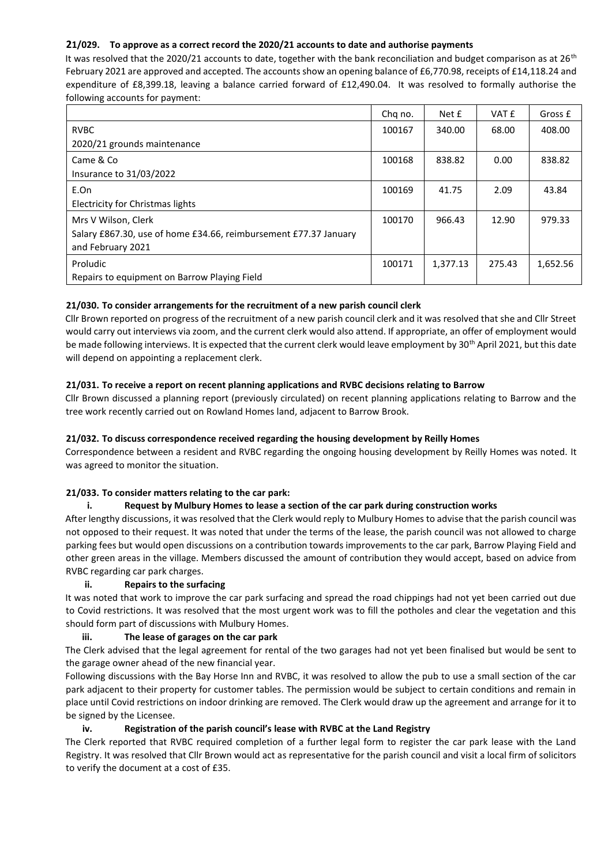## **21/029. To approve as a correct record the 2020/21 accounts to date and authorise payments**

It was resolved that the 2020/21 accounts to date, together with the bank reconciliation and budget comparison as at  $26<sup>th</sup>$ February 2021 are approved and accepted. The accounts show an opening balance of £6,770.98, receipts of £14,118.24 and expenditure of £8,399.18, leaving a balance carried forward of £12,490.04. It was resolved to formally authorise the following accounts for payment:

|                                                                  | Chq no. | Net £    | VAT £  | Gross £  |
|------------------------------------------------------------------|---------|----------|--------|----------|
| <b>RVBC</b>                                                      | 100167  | 340.00   | 68.00  | 408.00   |
| 2020/21 grounds maintenance                                      |         |          |        |          |
| Came & Co                                                        | 100168  | 838.82   | 0.00   | 838.82   |
| Insurance to 31/03/2022                                          |         |          |        |          |
| E.On                                                             | 100169  | 41.75    | 2.09   | 43.84    |
| Electricity for Christmas lights                                 |         |          |        |          |
| Mrs V Wilson, Clerk                                              | 100170  | 966.43   | 12.90  | 979.33   |
| Salary £867.30, use of home £34.66, reimbursement £77.37 January |         |          |        |          |
| and February 2021                                                |         |          |        |          |
| Proludic                                                         | 100171  | 1,377.13 | 275.43 | 1,652.56 |
| Repairs to equipment on Barrow Playing Field                     |         |          |        |          |

## **21/030. To consider arrangements for the recruitment of a new parish council clerk**

Cllr Brown reported on progress of the recruitment of a new parish council clerk and it was resolved that she and Cllr Street would carry out interviews via zoom, and the current clerk would also attend. If appropriate, an offer of employment would be made following interviews. It is expected that the current clerk would leave employment by 30<sup>th</sup> April 2021, but this date will depend on appointing a replacement clerk.

## **21/031. To receive a report on recent planning applications and RVBC decisions relating to Barrow**

Cllr Brown discussed a planning report (previously circulated) on recent planning applications relating to Barrow and the tree work recently carried out on Rowland Homes land, adjacent to Barrow Brook.

## **21/032. To discuss correspondence received regarding the housing development by Reilly Homes**

Correspondence between a resident and RVBC regarding the ongoing housing development by Reilly Homes was noted. It was agreed to monitor the situation.

#### **21/033. To consider matters relating to the car park:**

#### **i. Request by Mulbury Homes to lease a section of the car park during construction works**

After lengthy discussions, it was resolved that the Clerk would reply to Mulbury Homes to advise that the parish council was not opposed to their request. It was noted that under the terms of the lease, the parish council was not allowed to charge parking fees but would open discussions on a contribution towards improvements to the car park, Barrow Playing Field and other green areas in the village. Members discussed the amount of contribution they would accept, based on advice from RVBC regarding car park charges.

#### **ii. Repairs to the surfacing**

It was noted that work to improve the car park surfacing and spread the road chippings had not yet been carried out due to Covid restrictions. It was resolved that the most urgent work was to fill the potholes and clear the vegetation and this should form part of discussions with Mulbury Homes.

## **iii. The lease of garages on the car park**

The Clerk advised that the legal agreement for rental of the two garages had not yet been finalised but would be sent to the garage owner ahead of the new financial year.

Following discussions with the Bay Horse Inn and RVBC, it was resolved to allow the pub to use a small section of the car park adjacent to their property for customer tables. The permission would be subject to certain conditions and remain in place until Covid restrictions on indoor drinking are removed. The Clerk would draw up the agreement and arrange for it to be signed by the Licensee.

#### **iv. Registration of the parish council's lease with RVBC at the Land Registry**

The Clerk reported that RVBC required completion of a further legal form to register the car park lease with the Land Registry. It was resolved that Cllr Brown would act as representative for the parish council and visit a local firm of solicitors to verify the document at a cost of £35.